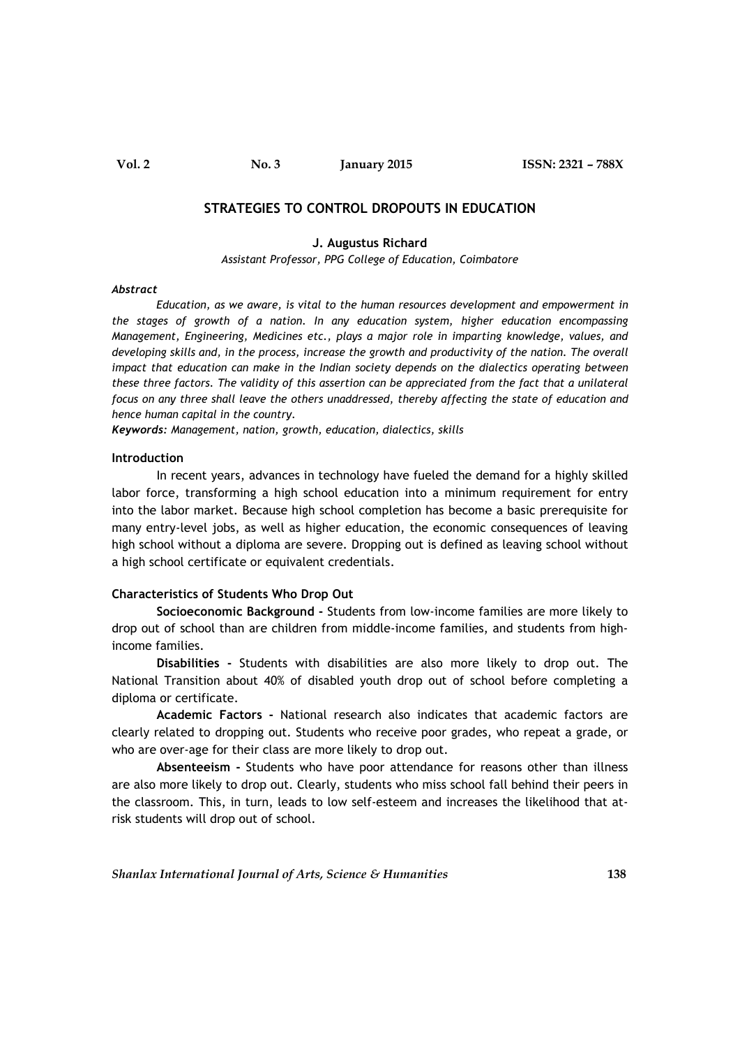**Vol. 2 No. 3 January 2015 ISSN: 2321 – 788X**

# **STRATEGIES TO CONTROL DROPOUTS IN EDUCATION**

#### **J. Augustus Richard**

*Assistant Professor, PPG College of Education, Coimbatore*

#### *Abstract*

*Education, as we aware, is vital to the human resources development and empowerment in the stages of growth of a nation. In any education system, higher education encompassing Management, Engineering, Medicines etc., plays a major role in imparting knowledge, values, and developing skills and, in the process, increase the growth and productivity of the nation. The overall impact that education can make in the Indian society depends on the dialectics operating between these three factors. The validity of this assertion can be appreciated from the fact that a unilateral focus on any three shall leave the others unaddressed, thereby affecting the state of education and hence human capital in the country.*

*Keywords: Management, nation, growth, education, dialectics, skills*

#### **Introduction**

In recent years, advances in technology have fueled the demand for a highly skilled labor force, transforming a high school education into a minimum requirement for entry into the labor market. Because high school completion has become a basic prerequisite for many entry-level jobs, as well as higher education, the economic consequences of leaving high school without a diploma are severe. Dropping out is defined as leaving school without a high school certificate or equivalent credentials.

#### **Characteristics of Students Who Drop Out**

**Socioeconomic Background -** Students from low-income families are more likely to drop out of school than are children from middle-income families, and students from highincome families.

**Disabilities -** Students with disabilities are also more likely to drop out. The National Transition about 40% of disabled youth drop out of school before completing a diploma or certificate.

**Academic Factors -** National research also indicates that academic factors are clearly related to dropping out. Students who receive poor grades, who repeat a grade, or who are over-age for their class are more likely to drop out.

**Absenteeism -** Students who have poor attendance for reasons other than illness are also more likely to drop out. Clearly, students who miss school fall behind their peers in the classroom. This, in turn, leads to low self-esteem and increases the likelihood that atrisk students will drop out of school.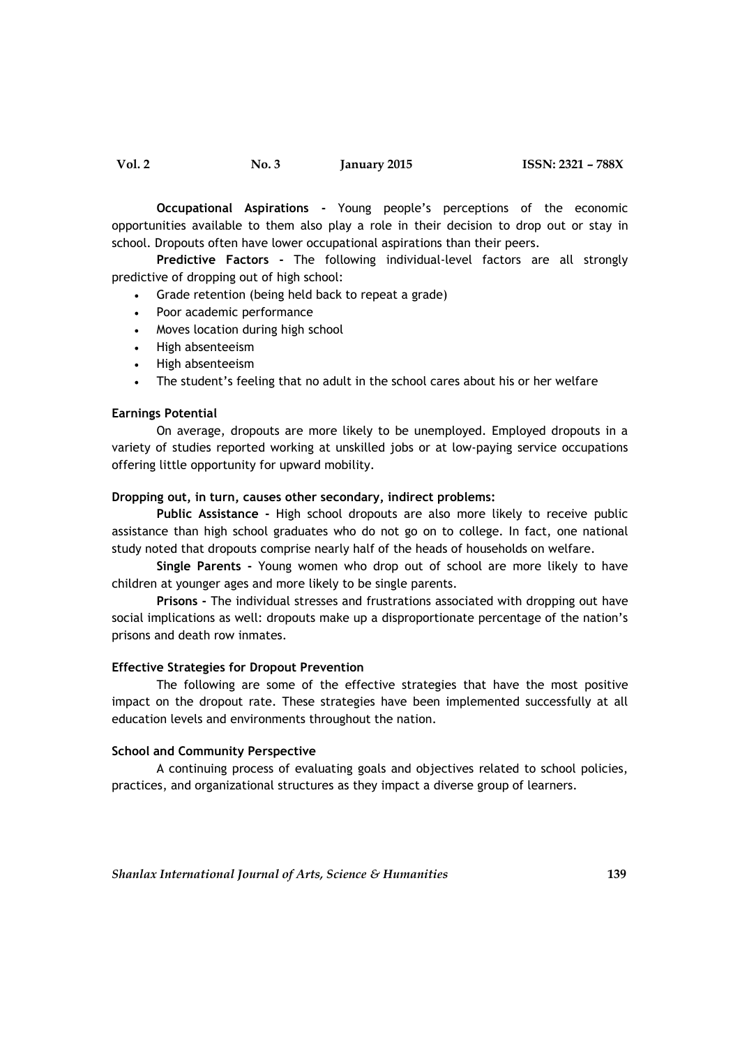**Occupational Aspirations -** Young people's perceptions of the economic opportunities available to them also play a role in their decision to drop out or stay in school. Dropouts often have lower occupational aspirations than their peers.

**Predictive Factors -** The following individual-level factors are all strongly predictive of dropping out of high school:

- Grade retention (being held back to repeat a grade)
- Poor academic performance
- Moves location during high school
- High absenteeism
- High absenteeism
- The student's feeling that no adult in the school cares about his or her welfare

### **Earnings Potential**

On average, dropouts are more likely to be unemployed. Employed dropouts in a variety of studies reported working at unskilled jobs or at low-paying service occupations offering little opportunity for upward mobility.

## **Dropping out, in turn, causes other secondary, indirect problems:**

**Public Assistance -** High school dropouts are also more likely to receive public assistance than high school graduates who do not go on to college. In fact, one national study noted that dropouts comprise nearly half of the heads of households on welfare.

**Single Parents -** Young women who drop out of school are more likely to have children at younger ages and more likely to be single parents.

**Prisons -** The individual stresses and frustrations associated with dropping out have social implications as well: dropouts make up a disproportionate percentage of the nation's prisons and death row inmates.

#### **Effective Strategies for Dropout Prevention**

The following are some of the effective strategies that have the most positive impact on the dropout rate. These strategies have been implemented successfully at all education levels and environments throughout the nation.

### **School and Community Perspective**

A continuing process of evaluating goals and objectives related to school policies, practices, and organizational structures as they impact a diverse group of learners.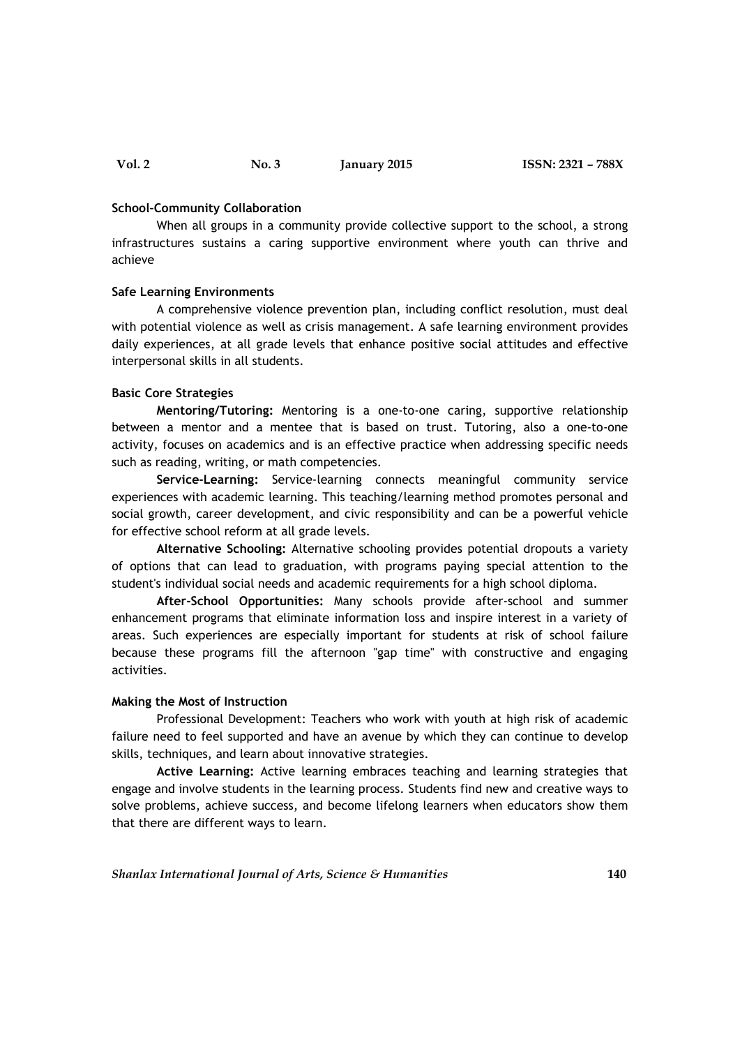#### **School-Community Collaboration**

When all groups in a community provide collective support to the school, a strong infrastructures sustains a caring supportive environment where youth can thrive and achieve

### **Safe Learning Environments**

A comprehensive violence prevention plan, including conflict resolution, must deal with potential violence as well as crisis management. A safe learning environment provides daily experiences, at all grade levels that enhance positive social attitudes and effective interpersonal skills in all students.

# **Basic Core Strategies**

**Mentoring/Tutoring:** Mentoring is a one-to-one caring, supportive relationship between a mentor and a mentee that is based on trust. Tutoring, also a one-to-one activity, focuses on academics and is an effective practice when addressing specific needs such as reading, writing, or math competencies.

**Service-Learning:** Service-learning connects meaningful community service experiences with academic learning. This teaching/learning method promotes personal and social growth, career development, and civic responsibility and can be a powerful vehicle for effective school reform at all grade levels.

**Alternative Schooling:** Alternative schooling provides potential dropouts a variety of options that can lead to graduation, with programs paying special attention to the student's individual social needs and academic requirements for a high school diploma.

**After-School Opportunities:** Many schools provide after-school and summer enhancement programs that eliminate information loss and inspire interest in a variety of areas. Such experiences are especially important for students at risk of school failure because these programs fill the afternoon "gap time" with constructive and engaging activities.

### **Making the Most of Instruction**

Professional Development: Teachers who work with youth at high risk of academic failure need to feel supported and have an avenue by which they can continue to develop skills, techniques, and learn about innovative strategies.

**Active Learning:** Active learning embraces teaching and learning strategies that engage and involve students in the learning process. Students find new and creative ways to solve problems, achieve success, and become lifelong learners when educators show them that there are different ways to learn.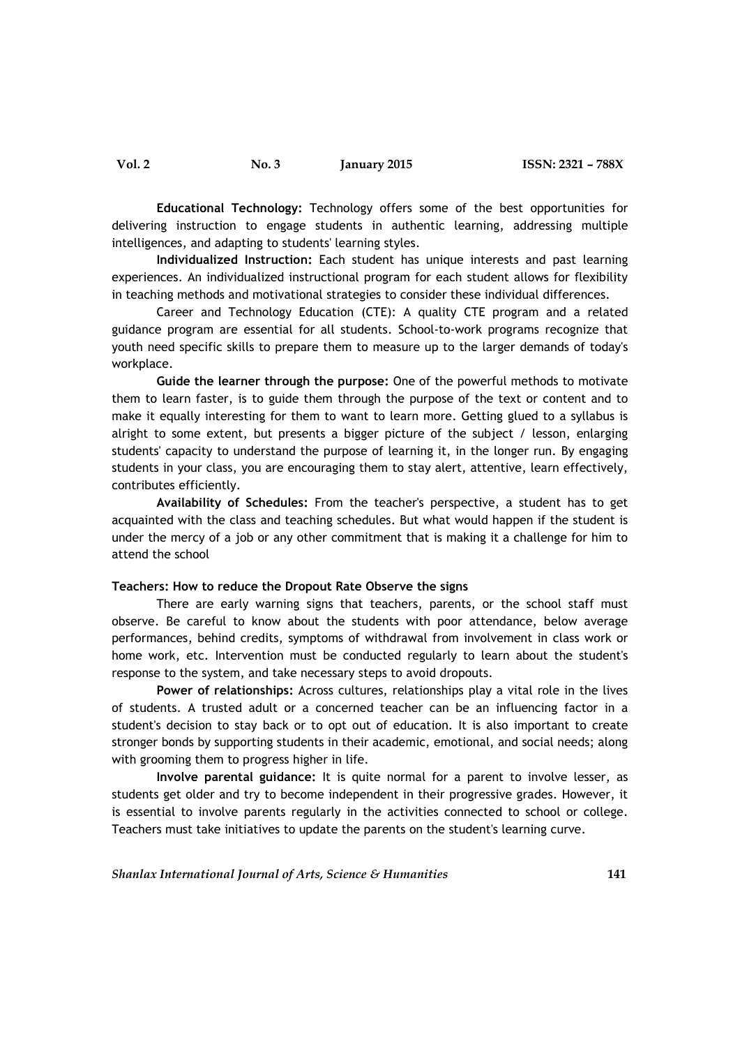**Educational Technology:** Technology offers some of the best opportunities for delivering instruction to engage students in authentic learning, addressing multiple intelligences, and adapting to students' learning styles.

**Individualized Instruction:** Each student has unique interests and past learning experiences. An individualized instructional program for each student allows for flexibility in teaching methods and motivational strategies to consider these individual differences.

Career and Technology Education (CTE): A quality CTE program and a related guidance program are essential for all students. School-to-work programs recognize that youth need specific skills to prepare them to measure up to the larger demands of today's workplace.

**Guide the learner through the purpose:** One of the powerful methods to motivate them to learn faster, is to guide them through the purpose of the text or content and to make it equally interesting for them to want to learn more. Getting glued to a syllabus is alright to some extent, but presents a bigger picture of the subject / lesson, enlarging students' capacity to understand the purpose of learning it, in the longer run. By engaging students in your class, you are encouraging them to stay alert, attentive, learn effectively, contributes efficiently.

**Availability of Schedules:** From the teacher's perspective, a student has to get acquainted with the class and teaching schedules. But what would happen if the student is under the mercy of a job or any other commitment that is making it a challenge for him to attend the school

### **Teachers: How to reduce the Dropout Rate Observe the signs**

There are early warning signs that teachers, parents, or the school staff must observe. Be careful to know about the students with poor attendance, below average performances, behind credits, symptoms of withdrawal from involvement in class work or home work, etc. Intervention must be conducted regularly to learn about the student's response to the system, and take necessary steps to avoid dropouts.

**Power of relationships:** Across cultures, relationships play a vital role in the lives of students. A trusted adult or a concerned teacher can be an influencing factor in a student's decision to stay back or to opt out of education. It is also important to create stronger bonds by supporting students in their academic, emotional, and social needs; along with grooming them to progress higher in life.

**Involve parental guidance:** It is quite normal for a parent to involve lesser, as students get older and try to become independent in their progressive grades. However, it is essential to involve parents regularly in the activities connected to school or college. Teachers must take initiatives to update the parents on the student's learning curve.